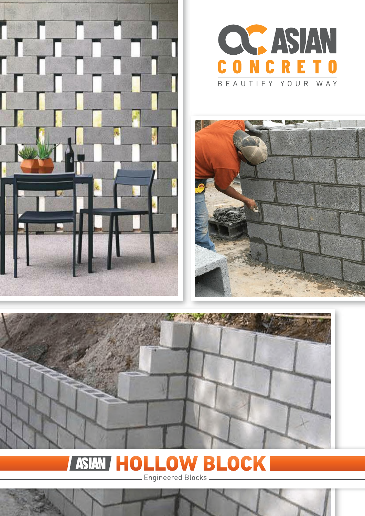







#### **RLOCK** ASIA n L Engineered Blocks <mark>L</mark>